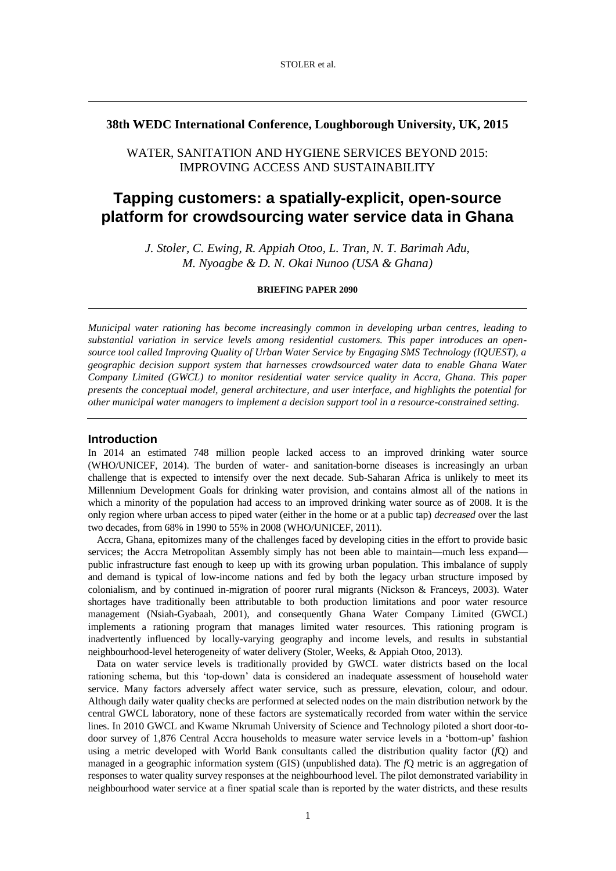## **38th WEDC International Conference, Loughborough University, UK, 2015**

## WATER, SANITATION AND HYGIENE SERVICES BEYOND 2015: IMPROVING ACCESS AND SUSTAINABILITY

# **Tapping customers: a spatially-explicit, open-source platform for crowdsourcing water service data in Ghana**

*J. Stoler, C. Ewing, R. Appiah Otoo, L. Tran, N. T. Barimah Adu, M. Nyoagbe & D. N. Okai Nunoo (USA & Ghana)*

#### **BRIEFING PAPER 2090**

*Municipal water rationing has become increasingly common in developing urban centres, leading to substantial variation in service levels among residential customers. This paper introduces an opensource tool called Improving Quality of Urban Water Service by Engaging SMS Technology (IQUEST), a geographic decision support system that harnesses crowdsourced water data to enable Ghana Water Company Limited (GWCL) to monitor residential water service quality in Accra, Ghana. This paper presents the conceptual model, general architecture, and user interface, and highlights the potential for other municipal water managers to implement a decision support tool in a resource-constrained setting.* 

#### **Introduction**

In 2014 an estimated 748 million people lacked access to an improved drinking water source [\(WHO/UNICEF, 2014\)](#page-5-0). The burden of water- and sanitation-borne diseases is increasingly an urban challenge that is expected to intensify over the next decade. Sub-Saharan Africa is unlikely to meet its Millennium Development Goals for drinking water provision, and contains almost all of the nations in which a minority of the population had access to an improved drinking water source as of 2008. It is the only region where urban access to piped water (either in the home or at a public tap) *decreased* over the last two decades, from 68% in 1990 to 55% in 2008 [\(WHO/UNICEF, 2011\)](#page-5-1).

Accra, Ghana, epitomizes many of the challenges faced by developing cities in the effort to provide basic services; the Accra Metropolitan Assembly simply has not been able to maintain—much less expand public infrastructure fast enough to keep up with its growing urban population. This imbalance of supply and demand is typical of low-income nations and fed by both the legacy urban structure imposed by colonialism, and by continued in-migration of poorer rural migrants [\(Nickson & Franceys, 2003\)](#page-5-2). Water shortages have traditionally been attributable to both production limitations and poor water resource management [\(Nsiah-Gyabaah, 2001\)](#page-5-3), and consequently Ghana Water Company Limited (GWCL) implements a rationing program that manages limited water resources. This rationing program is inadvertently influenced by locally-varying geography and income levels, and results in substantial neighbourhood-level heterogeneity of water delivery [\(Stoler, Weeks, & Appiah Otoo, 2013\)](#page-5-4).

Data on water service levels is traditionally provided by GWCL water districts based on the local rationing schema, but this 'top-down' data is considered an inadequate assessment of household water service. Many factors adversely affect water service, such as pressure, elevation, colour, and odour. Although daily water quality checks are performed at selected nodes on the main distribution network by the central GWCL laboratory, none of these factors are systematically recorded from water within the service lines. In 2010 GWCL and Kwame Nkrumah University of Science and Technology piloted a short door-todoor survey of 1,876 Central Accra households to measure water service levels in a 'bottom-up' fashion using a metric developed with World Bank consultants called the distribution quality factor (*f*Q) and managed in a geographic information system (GIS) (unpublished data). The *f*Q metric is an aggregation of responses to water quality survey responses at the neighbourhood level. The pilot demonstrated variability in neighbourhood water service at a finer spatial scale than is reported by the water districts, and these results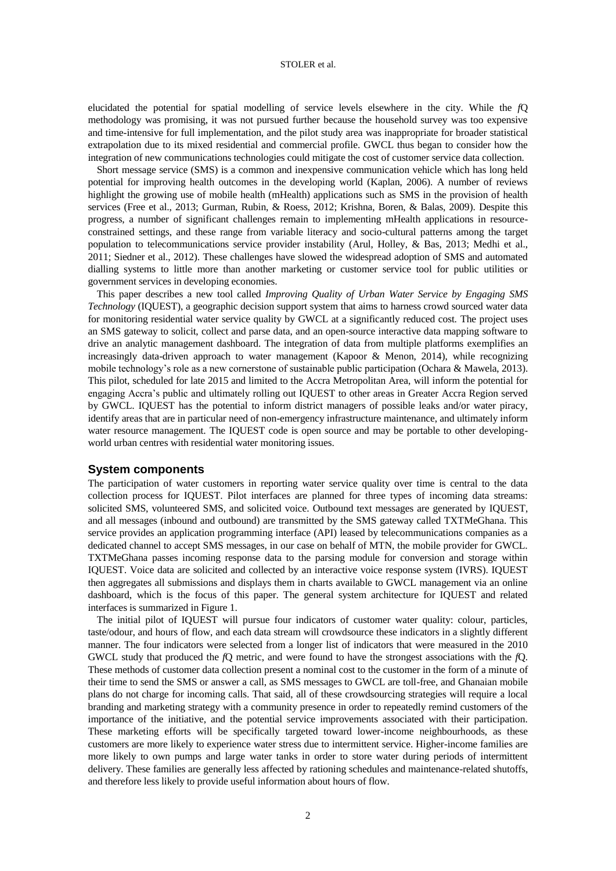#### STOLER et al.

elucidated the potential for spatial modelling of service levels elsewhere in the city. While the *f*Q methodology was promising, it was not pursued further because the household survey was too expensive and time-intensive for full implementation, and the pilot study area was inappropriate for broader statistical extrapolation due to its mixed residential and commercial profile. GWCL thus began to consider how the integration of new communications technologies could mitigate the cost of customer service data collection.

Short message service (SMS) is a common and inexpensive communication vehicle which has long held potential for improving health outcomes in the developing world [\(Kaplan, 2006\)](#page-5-5). A number of reviews highlight the growing use of mobile health (mHealth) applications such as SMS in the provision of health services [\(Free et al., 2013;](#page-5-6) [Gurman, Rubin, & Roess, 2012;](#page-5-7) [Krishna, Boren, & Balas, 2009\)](#page-5-8). Despite this progress, a number of significant challenges remain to implementing mHealth applications in resourceconstrained settings, and these range from variable literacy and socio-cultural patterns among the target population to telecommunications service provider instability [\(Arul, Holley, & Bas, 2013;](#page-5-9) [Medhi et al.,](#page-5-10)  [2011;](#page-5-10) [Siedner et al., 2012\)](#page-5-11). These challenges have slowed the widespread adoption of SMS and automated dialling systems to little more than another marketing or customer service tool for public utilities or government services in developing economies.

This paper describes a new tool called *Improving Quality of Urban Water Service by Engaging SMS Technology* (IQUEST), a geographic decision support system that aims to harness crowd sourced water data for monitoring residential water service quality by GWCL at a significantly reduced cost. The project uses an SMS gateway to solicit, collect and parse data, and an open-source interactive data mapping software to drive an analytic management dashboard. The integration of data from multiple platforms exemplifies an increasingly data-driven approach to water management [\(Kapoor & Menon, 2014\)](#page-5-12), while recognizing mobile technology's role as a new cornerstone of sustainable public participation [\(Ochara & Mawela, 2013\)](#page-5-13). This pilot, scheduled for late 2015 and limited to the Accra Metropolitan Area, will inform the potential for engaging Accra's public and ultimately rolling out IQUEST to other areas in Greater Accra Region served by GWCL. IQUEST has the potential to inform district managers of possible leaks and/or water piracy, identify areas that are in particular need of non-emergency infrastructure maintenance, and ultimately inform water resource management. The IQUEST code is open source and may be portable to other developingworld urban centres with residential water monitoring issues.

## **System components**

The participation of water customers in reporting water service quality over time is central to the data collection process for IQUEST. Pilot interfaces are planned for three types of incoming data streams: solicited SMS, volunteered SMS, and solicited voice. Outbound text messages are generated by IQUEST, and all messages (inbound and outbound) are transmitted by the SMS gateway called TXTMeGhana. This service provides an application programming interface (API) leased by telecommunications companies as a dedicated channel to accept SMS messages, in our case on behalf of MTN, the mobile provider for GWCL. TXTMeGhana passes incoming response data to the parsing module for conversion and storage within IQUEST. Voice data are solicited and collected by an interactive voice response system (IVRS). IQUEST then aggregates all submissions and displays them in charts available to GWCL management via an online dashboard, which is the focus of this paper. The general system architecture for IQUEST and related interfaces is summarized in Figure 1.

The initial pilot of IQUEST will pursue four indicators of customer water quality: colour, particles, taste/odour, and hours of flow, and each data stream will crowdsource these indicators in a slightly different manner. The four indicators were selected from a longer list of indicators that were measured in the 2010 GWCL study that produced the *f*Q metric, and were found to have the strongest associations with the *f*Q. These methods of customer data collection present a nominal cost to the customer in the form of a minute of their time to send the SMS or answer a call, as SMS messages to GWCL are toll-free, and Ghanaian mobile plans do not charge for incoming calls. That said, all of these crowdsourcing strategies will require a local branding and marketing strategy with a community presence in order to repeatedly remind customers of the importance of the initiative, and the potential service improvements associated with their participation. These marketing efforts will be specifically targeted toward lower-income neighbourhoods, as these customers are more likely to experience water stress due to intermittent service. Higher-income families are more likely to own pumps and large water tanks in order to store water during periods of intermittent delivery. These families are generally less affected by rationing schedules and maintenance-related shutoffs, and therefore less likely to provide useful information about hours of flow.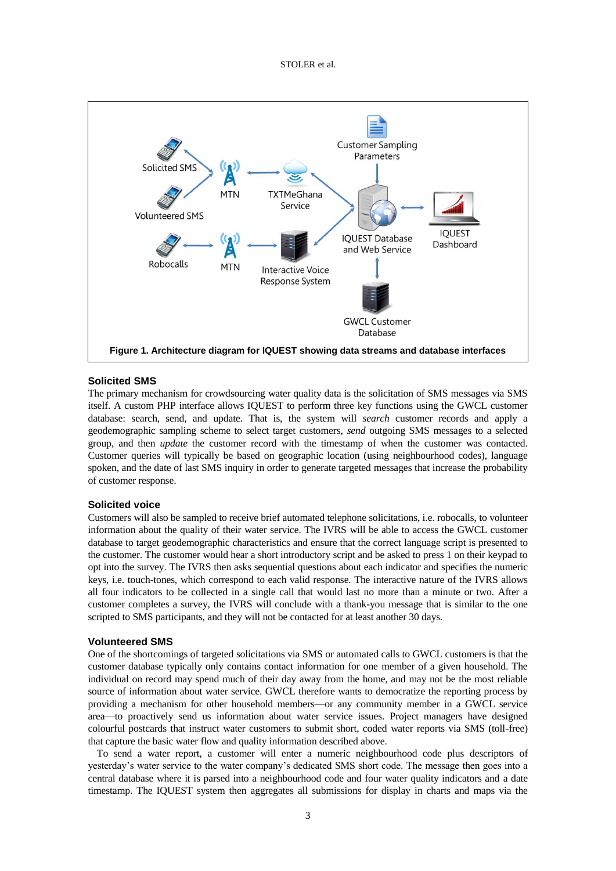STOLER et al.



## **Solicited SMS**

The primary mechanism for crowdsourcing water quality data is the solicitation of SMS messages via SMS itself. A custom PHP interface allows IQUEST to perform three key functions using the GWCL customer database: search, send, and update. That is, the system will *search* customer records and apply a geodemographic sampling scheme to select target customers, *send* outgoing SMS messages to a selected group, and then *update* the customer record with the timestamp of when the customer was contacted. Customer queries will typically be based on geographic location (using neighbourhood codes), language spoken, and the date of last SMS inquiry in order to generate targeted messages that increase the probability of customer response.

## **Solicited voice**

Customers will also be sampled to receive brief automated telephone solicitations, i.e. robocalls, to volunteer information about the quality of their water service. The IVRS will be able to access the GWCL customer database to target geodemographic characteristics and ensure that the correct language script is presented to the customer. The customer would hear a short introductory script and be asked to press 1 on their keypad to opt into the survey. The IVRS then asks sequential questions about each indicator and specifies the numeric keys, i.e. touch-tones, which correspond to each valid response. The interactive nature of the IVRS allows all four indicators to be collected in a single call that would last no more than a minute or two. After a customer completes a survey, the IVRS will conclude with a thank-you message that is similar to the one scripted to SMS participants, and they will not be contacted for at least another 30 days.

#### **Volunteered SMS**

One of the shortcomings of targeted solicitations via SMS or automated calls to GWCL customers is that the customer database typically only contains contact information for one member of a given household. The individual on record may spend much of their day away from the home, and may not be the most reliable source of information about water service. GWCL therefore wants to democratize the reporting process by providing a mechanism for other household members—or any community member in a GWCL service area—to proactively send us information about water service issues. Project managers have designed colourful postcards that instruct water customers to submit short, coded water reports via SMS (toll-free) that capture the basic water flow and quality information described above.

To send a water report, a customer will enter a numeric neighbourhood code plus descriptors of yesterday's water service to the water company's dedicated SMS short code. The message then goes into a central database where it is parsed into a neighbourhood code and four water quality indicators and a date timestamp. The IQUEST system then aggregates all submissions for display in charts and maps via the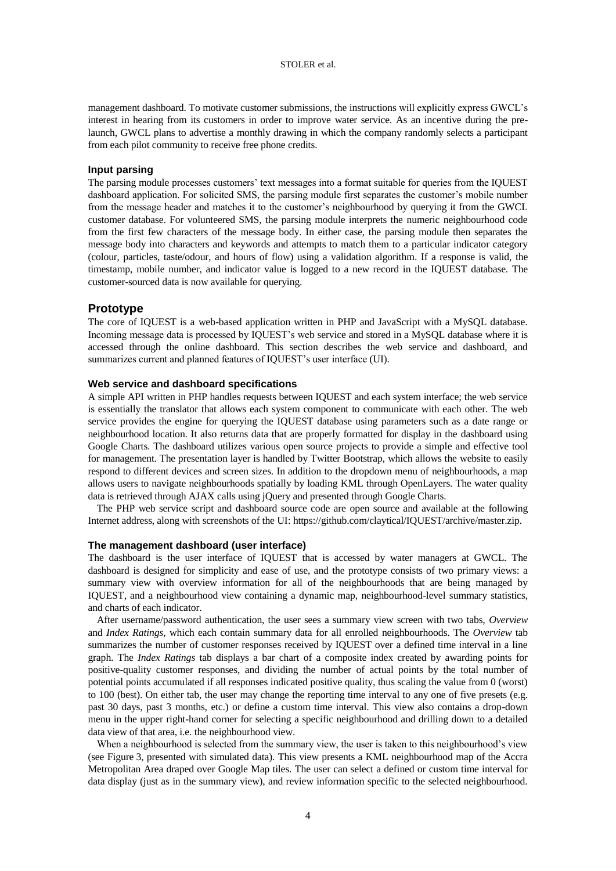management dashboard. To motivate customer submissions, the instructions will explicitly express GWCL's interest in hearing from its customers in order to improve water service. As an incentive during the prelaunch, GWCL plans to advertise a monthly drawing in which the company randomly selects a participant from each pilot community to receive free phone credits.

#### **Input parsing**

The parsing module processes customers' text messages into a format suitable for queries from the IQUEST dashboard application. For solicited SMS, the parsing module first separates the customer's mobile number from the message header and matches it to the customer's neighbourhood by querying it from the GWCL customer database. For volunteered SMS, the parsing module interprets the numeric neighbourhood code from the first few characters of the message body. In either case, the parsing module then separates the message body into characters and keywords and attempts to match them to a particular indicator category (colour, particles, taste/odour, and hours of flow) using a validation algorithm. If a response is valid, the timestamp, mobile number, and indicator value is logged to a new record in the IQUEST database. The customer-sourced data is now available for querying.

## **Prototype**

The core of IQUEST is a web-based application written in PHP and JavaScript with a MySQL database. Incoming message data is processed by IQUEST's web service and stored in a MySQL database where it is accessed through the online dashboard. This section describes the web service and dashboard, and summarizes current and planned features of IQUEST's user interface (UI).

## **Web service and dashboard specifications**

A simple API written in PHP handles requests between IQUEST and each system interface; the web service is essentially the translator that allows each system component to communicate with each other. The web service provides the engine for querying the IQUEST database using parameters such as a date range or neighbourhood location. It also returns data that are properly formatted for display in the dashboard using Google Charts. The dashboard utilizes various open source projects to provide a simple and effective tool for management. The presentation layer is handled by Twitter Bootstrap, which allows the website to easily respond to different devices and screen sizes. In addition to the dropdown menu of neighbourhoods, a map allows users to navigate neighbourhoods spatially by loading KML through OpenLayers. The water quality data is retrieved through AJAX calls using jQuery and presented through Google Charts.

The PHP web service script and dashboard source code are open source and available at the following Internet address, along with screenshots of the UI: https://github.com/claytical/IQUEST/archive/master.zip.

#### **The management dashboard (user interface)**

The dashboard is the user interface of IQUEST that is accessed by water managers at GWCL. The dashboard is designed for simplicity and ease of use, and the prototype consists of two primary views: a summary view with overview information for all of the neighbourhoods that are being managed by IQUEST, and a neighbourhood view containing a dynamic map, neighbourhood-level summary statistics, and charts of each indicator.

After username/password authentication, the user sees a summary view screen with two tabs, *Overview* and *Index Ratings*, which each contain summary data for all enrolled neighbourhoods. The *Overview* tab summarizes the number of customer responses received by IQUEST over a defined time interval in a line graph. The *Index Ratings* tab displays a bar chart of a composite index created by awarding points for positive-quality customer responses, and dividing the number of actual points by the total number of potential points accumulated if all responses indicated positive quality, thus scaling the value from 0 (worst) to 100 (best). On either tab, the user may change the reporting time interval to any one of five presets (e.g. past 30 days, past 3 months, etc.) or define a custom time interval. This view also contains a drop-down menu in the upper right-hand corner for selecting a specific neighbourhood and drilling down to a detailed data view of that area, i.e. the neighbourhood view.

When a neighbourhood is selected from the summary view, the user is taken to this neighbourhood's view (see Figure 3, presented with simulated data). This view presents a KML neighbourhood map of the Accra Metropolitan Area draped over Google Map tiles. The user can select a defined or custom time interval for data display (just as in the summary view), and review information specific to the selected neighbourhood.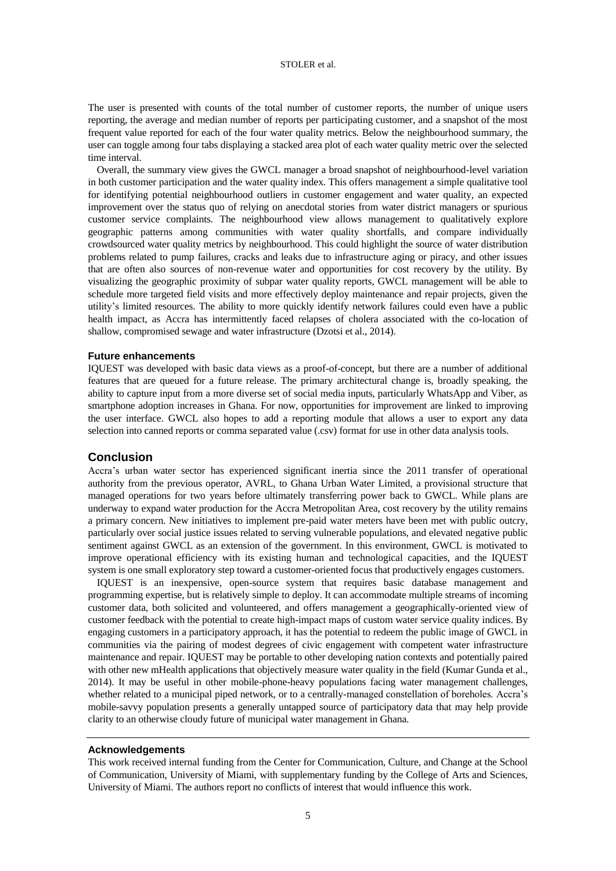## STOLER et al.

The user is presented with counts of the total number of customer reports, the number of unique users reporting, the average and median number of reports per participating customer, and a snapshot of the most frequent value reported for each of the four water quality metrics. Below the neighbourhood summary, the user can toggle among four tabs displaying a stacked area plot of each water quality metric over the selected time interval.

Overall, the summary view gives the GWCL manager a broad snapshot of neighbourhood-level variation in both customer participation and the water quality index. This offers management a simple qualitative tool for identifying potential neighbourhood outliers in customer engagement and water quality, an expected improvement over the status quo of relying on anecdotal stories from water district managers or spurious customer service complaints. The neighbourhood view allows management to qualitatively explore geographic patterns among communities with water quality shortfalls, and compare individually crowdsourced water quality metrics by neighbourhood. This could highlight the source of water distribution problems related to pump failures, cracks and leaks due to infrastructure aging or piracy, and other issues that are often also sources of non-revenue water and opportunities for cost recovery by the utility. By visualizing the geographic proximity of subpar water quality reports, GWCL management will be able to schedule more targeted field visits and more effectively deploy maintenance and repair projects, given the utility's limited resources. The ability to more quickly identify network failures could even have a public health impact, as Accra has intermittently faced relapses of cholera associated with the co-location of shallow, compromised sewage and water infrastructure [\(Dzotsi et al., 2014\)](#page-5-14).

#### **Future enhancements**

IQUEST was developed with basic data views as a proof-of-concept, but there are a number of additional features that are queued for a future release. The primary architectural change is, broadly speaking, the ability to capture input from a more diverse set of social media inputs, particularly WhatsApp and Viber, as smartphone adoption increases in Ghana. For now, opportunities for improvement are linked to improving the user interface. GWCL also hopes to add a reporting module that allows a user to export any data selection into canned reports or comma separated value (.csv) format for use in other data analysis tools.

## **Conclusion**

Accra's urban water sector has experienced significant inertia since the 2011 transfer of operational authority from the previous operator, AVRL, to Ghana Urban Water Limited, a provisional structure that managed operations for two years before ultimately transferring power back to GWCL. While plans are underway to expand water production for the Accra Metropolitan Area, cost recovery by the utility remains a primary concern. New initiatives to implement pre-paid water meters have been met with public outcry, particularly over social justice issues related to serving vulnerable populations, and elevated negative public sentiment against GWCL as an extension of the government. In this environment, GWCL is motivated to improve operational efficiency with its existing human and technological capacities, and the IQUEST system is one small exploratory step toward a customer-oriented focus that productively engages customers.

IQUEST is an inexpensive, open-source system that requires basic database management and programming expertise, but is relatively simple to deploy. It can accommodate multiple streams of incoming customer data, both solicited and volunteered, and offers management a geographically-oriented view of customer feedback with the potential to create high-impact maps of custom water service quality indices. By engaging customers in a participatory approach, it has the potential to redeem the public image of GWCL in communities via the pairing of modest degrees of civic engagement with competent water infrastructure maintenance and repair. IQUEST may be portable to other developing nation contexts and potentially paired with other new mHealth applications that objectively measure water quality in the field (Kumar Gunda et al., [2014\)](#page-5-15). It may be useful in other mobile-phone-heavy populations facing water management challenges, whether related to a municipal piped network, or to a centrally-managed constellation of boreholes. Accra's mobile-savvy population presents a generally untapped source of participatory data that may help provide clarity to an otherwise cloudy future of municipal water management in Ghana.

#### **Acknowledgements**

This work received internal funding from the Center for Communication, Culture, and Change at the School of Communication, University of Miami, with supplementary funding by the College of Arts and Sciences, University of Miami. The authors report no conflicts of interest that would influence this work.